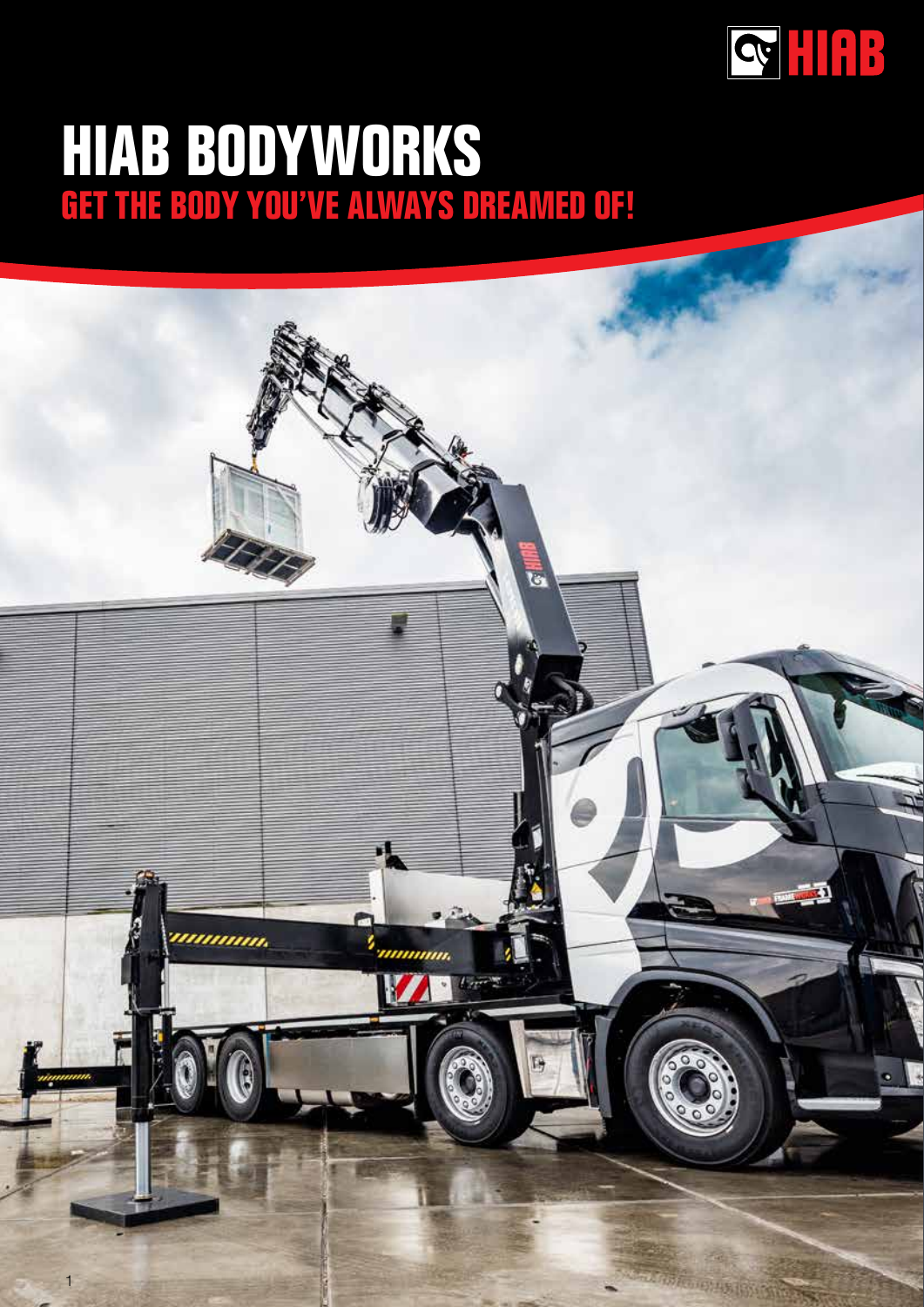

# **HIAB BODYWORKS GET THE BODY YOU'VE ALWAYS DREAMED OF!**

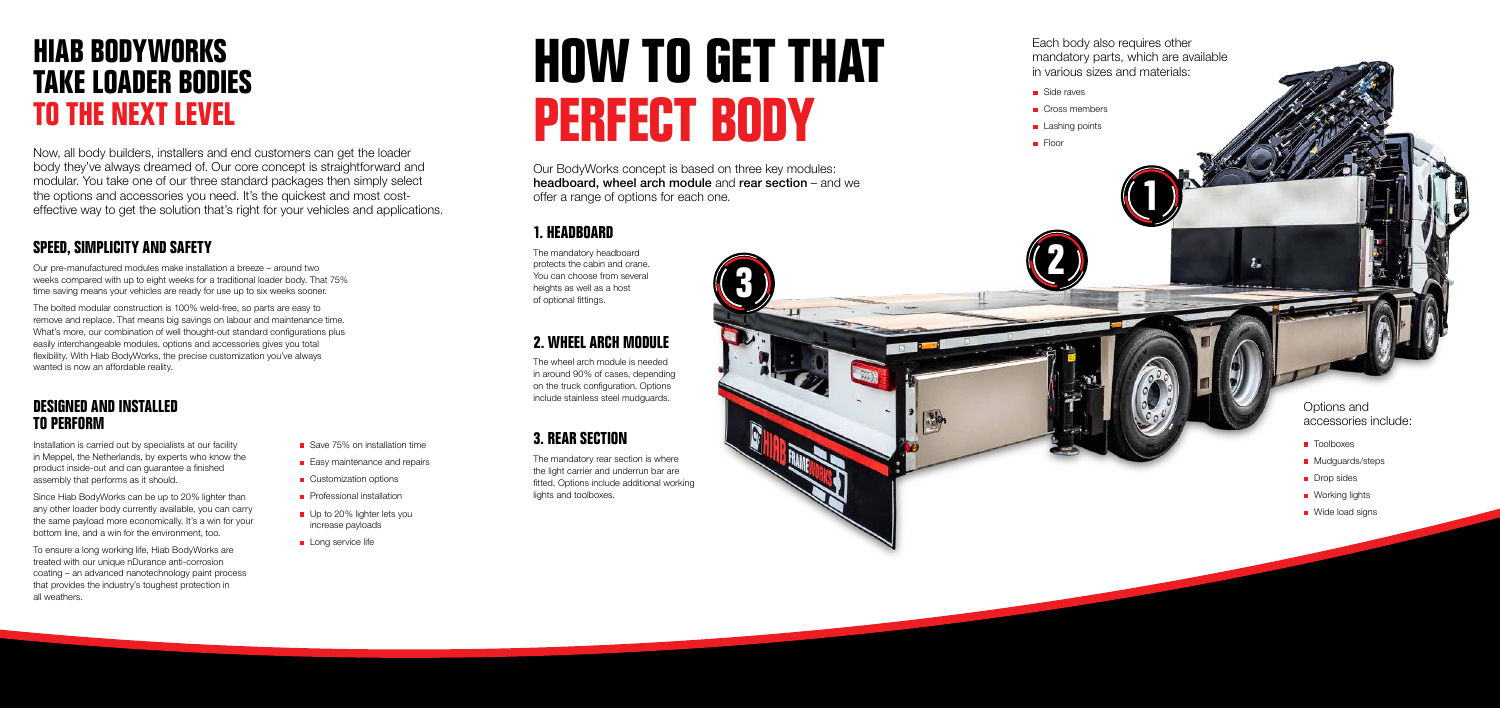# **HIAB BODYWORKS TAKE LOADER BODIES TO THE NEXT LEVEL**

Now, all body builders, installers and end customers can get the loader body they've always dreamed of. Our core concept is straightforward and modular. You take one of our three standard packages then simply select the options and accessories you need. It's the quickest and most costeffective way to get the solution that's right for your vehicles and applications.

Our pre-manufactured modules make installation a breeze – around two weeks compared with up to eight weeks for a traditional loader body. That 75% time saving means your vehicles are ready for use up to six weeks sooner.

The bolted modular construction is 100% weld-free, so parts are easy to remove and replace. That means big savings on labour and maintenance time. What's more, our combination of well thought-out standard configurations plus easily interchangeable modules, options and accessories gives you total flexibility. With Hiab BodyWorks, the precise customization you've always wanted is now an affordable reality.

## **SPEED, SIMPLICITY AND SAFETY**

Installation is carried out by specialists at our facility in Meppel, the Netherlands, by experts who know the product inside-out and can guarantee a finished assembly that performs as it should.

Since Hiab BodyWorks can be up to 20% lighter than any other loader body currently available, you can carry the same payload more economically. It's a win for your bottom line, and a win for the environment, too.

To ensure a long working life, Hiab BodyWorks are treated with our unique nDurance anti-corrosion coating – an advanced nanotechnology paint process that provides the industry's toughest protection in all weathers.

- Save 75% on installation time
- Easy maintenance and repairs
- **Customization options**
- **Professional installation**
- Up to 20% lighter lets you increase payloads
- Long service life

### **DESIGNED AND INSTALLED TO PERFORM**

# **HOW TO GET THAT PERFECT BODY**

Our BodyWorks concept is based on three key modules: headboard, wheel arch module and rear section – and we offer a range of options for each one.

## **2. WHEEL ARCH MODULE**

## **3. REAR SECTION**

The wheel arch module is needed in around 90% of cases, depending on the truck configuration. Options include stainless steel mudguards.

The mandatory rear section is where the light carrier and underrun bar are fitted. Options include additional working lights and toolboxes.

## **1. HEADBOARD**

The mandatory headboard protects the cabin and crane. You can choose from several heights as well as a host of optional fittings.